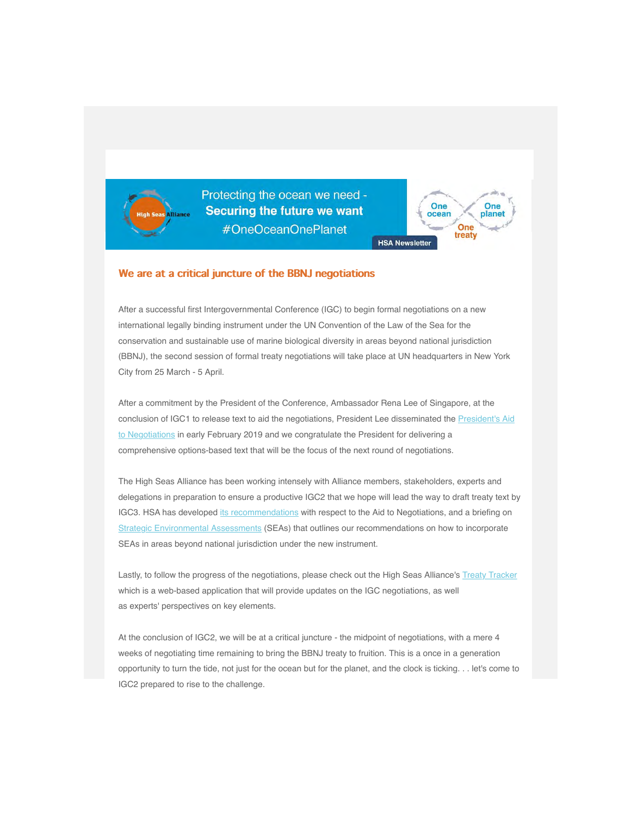

Protecting the ocean we need -**Securing the future we want** #OneOceanOnePlanet



### We are at a critical juncture of the BBNJ negotiations

After a successful first Intergovernmental Conference (IGC) to begin formal negotiations on a new international legally binding instrument under the UN Convention of the Law of the Sea for the conservation and sustainable use of marine biological diversity in areas beyond national jurisdiction (BBNJ), the second session of formal treaty negotiations will take place at UN headquarters in New York City from 25 March - 5 April.

After a commitment by the President of the Conference, Ambassador Rena Lee of Singapore, at the conclusion of IGC1 to release text to aid the negotiations, President Lee disseminated the President's Aid to Negotiations in early February 2019 and we congratulate the President for delivering a comprehensive options-based text that will be the focus of the next round of negotiations.

[The High Seas Alliance has been working intensely with Alliance members, stakeholders, experts and](https://highseasalliance.us9.list-manage.com/track/click?u=bf984bd75a5542e11fb81934c&id=5423a39a9c&e=cff31a2790) delegations in preparation to ensure a productive IGC2 that we hope will lead the way to draft treaty text by IGC3. HSA has developed [its recommendations](https://highseasalliance.us9.list-manage.com/track/click?u=bf984bd75a5542e11fb81934c&id=9bd6545fc8&e=cff31a2790) with respect to the Aid to Negotiations, and a briefing on Strategic Environmental Assessments (SEAs) that outlines our recommendations on how to incorporate SEAs in areas beyond national jurisdiction under the new instrument.

[Lastly, to follow the progress of the ne](https://highseasalliance.us9.list-manage.com/track/click?u=bf984bd75a5542e11fb81934c&id=9b81da0cd8&e=cff31a2790)gotiations, please check out the High Seas Alliance's [Treaty Tracker](https://highseasalliance.us9.list-manage.com/track/click?u=bf984bd75a5542e11fb81934c&id=754702a15d&e=cff31a2790) which is a web-based application that will provide updates on the IGC negotiations, as well as experts' perspectives on key elements.

At the conclusion of IGC2, we will be at a critical juncture - the midpoint of negotiations, with a mere 4 weeks of negotiating time remaining to bring the BBNJ treaty to fruition. This is a once in a generation opportunity to turn the tide, not just for the ocean but for the planet, and the clock is ticking. . . let's come to IGC2 prepared to rise to the challenge.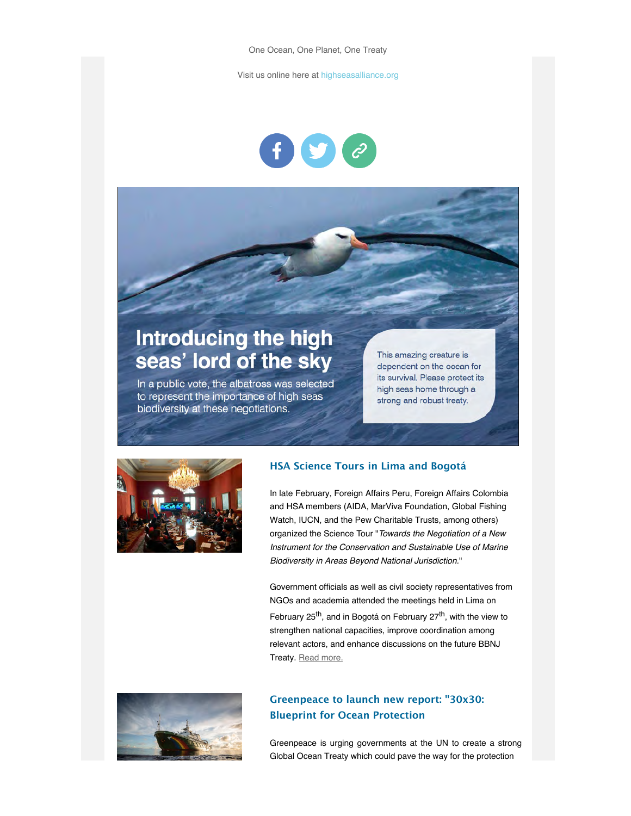Visit us online here at [highseasalliance.org](https://highseasalliance.us9.list-manage.com/track/click?u=bf984bd75a5542e11fb81934c&id=082e2cd5aa&e=cff31a2790)



# Introducing the high seas' lord of the sky

In a public vote, the albatross was selected to represent the importance of high seas biodiversity at these negotiations.

This amazing creature is dependent on the ocean for its survival. Please protect its high seas home through a strong and robust treaty.



# **HSA Science Tours in Lima and Bogotá**

In late February, Foreign Affairs Peru, Foreign Affairs Colombia and HSA members (AIDA, MarViva Foundation, Global Fishing Watch, IUCN, and the Pew Charitable Trusts, among others) organized the Science Tour "*Towards the Negotiation of a New Instrument for the Conservation and Sustainable Use of Marine Biodiversity in Areas Beyond National Jurisdiction.*"

Government officials as well as civil society representatives from NGOs and academia attended the meetings held in Lima on February  $25^{th}$ , and in Bogotá on February  $27^{th}$ , with the view to strengthen national capacities, improve coordination among relevant actors, and enhance discussions on the future BBNJ Treaty. [Read more.](https://highseasalliance.us9.list-manage.com/track/click?u=bf984bd75a5542e11fb81934c&id=6077e0e675&e=cff31a2790)



# **Greenpeace to launch new report: "30x30: Blueprint for Ocean Protection**

Greenpeace is urging governments at the UN to create a strong Global Ocean Treaty which could pave the way for the protection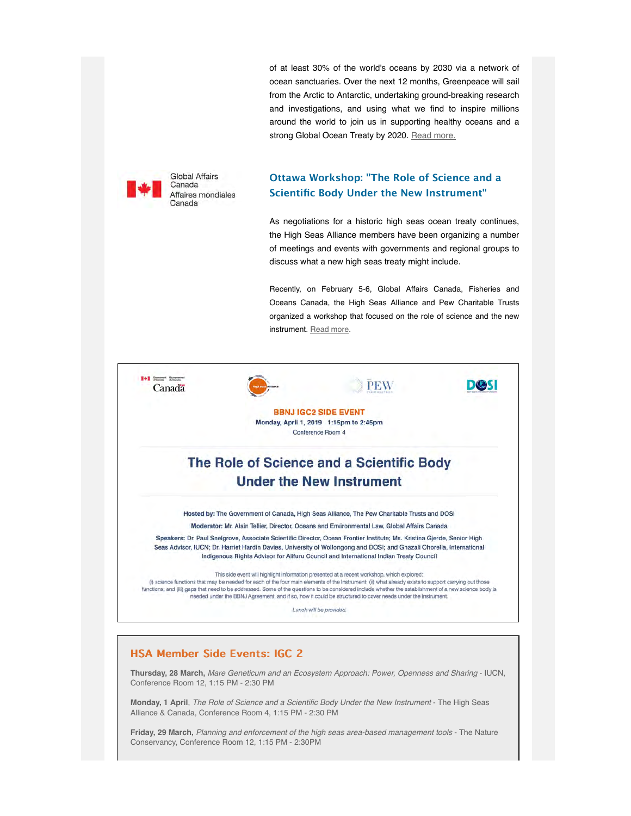of at least 30% of the world's oceans by 2030 via a network of ocean sanctuaries. Over the next 12 months, Greenpeace will sail from the Arctic to Antarctic, undertaking ground-breaking research and investigations, and using what we find to inspire millions around the world to join us in supporting healthy oceans and a strong Global Ocean Treaty by 2020. [Read more.](https://highseasalliance.us9.list-manage.com/track/click?u=bf984bd75a5542e11fb81934c&id=d545fbeb52&e=cff31a2790)



# **Ottawa Workshop: "The Role of Science and a Scientific Body Under the New Instrument"**

As negotiations for a historic high seas ocean treaty continues, the High Seas Alliance members have been organizing a number of meetings and events with governments and regional groups to discuss what a new high seas treaty might include.

Recently, on February 5-6, Global Affairs Canada, Fisheries and Oceans Canada, the High Seas Alliance and Pew Charitable Trusts organized a workshop that focused on the role of science and the new instrument. [Read more.](https://highseasalliance.us9.list-manage.com/track/click?u=bf984bd75a5542e11fb81934c&id=156efc2f1e&e=cff31a2790)



**Thursday, 28 March,** *Mare Geneticum and an Ecosystem Approach: Power, Openness and Sharing* - IUCN, Conference Room 12, 1:15 PM - 2:30 PM

**Monday, 1 April**, *The Role of Science and a Scientific Body Under the New Instrument* - The High Seas Alliance & Canada, Conference Room 4, 1:15 PM - 2:30 PM

**Friday, 29 March,** *Planning and enforcement of the high seas area-based management tools* - The Nature Conservancy, Conference Room 12, 1:15 PM - 2:30PM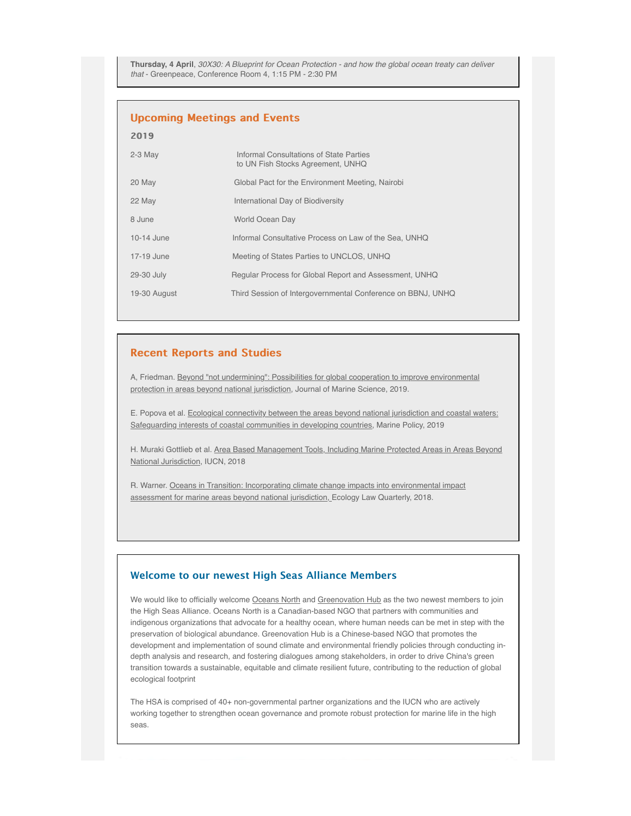**Thursday, 4 April**, *30X30: A Blueprint for Ocean Protection - and how the global ocean treaty can deliver that* - Greenpeace, Conference Room 4, 1:15 PM - 2:30 PM

#### **Upcoming Meetings and Events**

| 2019         |                                                                              |
|--------------|------------------------------------------------------------------------------|
| $2-3$ May    | Informal Consultations of State Parties<br>to UN Fish Stocks Agreement, UNHQ |
| 20 May       | Global Pact for the Environment Meeting, Nairobi                             |
| 22 May       | International Day of Biodiversity                                            |
| 8 June       | World Ocean Day                                                              |
| $10-14$ June | Informal Consultative Process on Law of the Sea, UNHQ                        |
| 17-19 June   | Meeting of States Parties to UNCLOS, UNHQ                                    |
| 29-30 July   | Regular Process for Global Report and Assessment, UNHQ                       |
| 19-30 August | Third Session of Intergovernmental Conference on BBNJ, UNHQ                  |

#### **Recent Reports and Studies**

[A, Friedman. Beyond "not undermining": Possibilities for global cooperation to improve environmental](https://highseasalliance.us9.list-manage.com/track/click?u=bf984bd75a5542e11fb81934c&id=06ff91f63e&e=cff31a2790) protection in areas beyond national jurisdiction, Journal of Marine Science, 2019.

[E. Popova et al. Ecological connectivity between the areas beyond national jurisdiction and coastal waters:](https://highseasalliance.us9.list-manage.com/track/click?u=bf984bd75a5542e11fb81934c&id=df43870e70&e=cff31a2790) Safeguarding interests of coastal communities in developing countries, Marine Policy, 2019

[H. Muraki Gottlieb et al. Area Based Management Tools, Including Marine Protected Areas in Areas Beyond](https://highseasalliance.us9.list-manage.com/track/click?u=bf984bd75a5542e11fb81934c&id=da14b015fc&e=cff31a2790) National Jurisdiction, IUCN, 2018

[R. Warner. Oceans in Transition: Incorporating climate change impacts into environmental impact](https://highseasalliance.us9.list-manage.com/track/click?u=bf984bd75a5542e11fb81934c&id=89de42e82d&e=cff31a2790) assessment for marine areas beyond national jurisdiction, Ecology Law Quarterly, 2018.

## **Welcome to our newest High Seas Alliance Members**

We would like to officially welcome [Oceans North](https://highseasalliance.us9.list-manage.com/track/click?u=bf984bd75a5542e11fb81934c&id=509092ef9e&e=cff31a2790) and [Greenovation Hub](https://highseasalliance.us9.list-manage.com/track/click?u=bf984bd75a5542e11fb81934c&id=4f8be71143&e=cff31a2790) as the two newest members to join the High Seas Alliance. Oceans North is a Canadian-based NGO that partners with communities and indigenous organizations that advocate for a healthy ocean, where human needs can be met in step with the preservation of biological abundance. Greenovation Hub is a Chinese-based NGO that promotes the development and implementation of sound climate and environmental friendly policies through conducting indepth analysis and research, and fostering dialogues among stakeholders, in order to drive China's green transition towards a sustainable, equitable and climate resilient future, contributing to the reduction of global ecological footprint

The HSA is comprised of 40+ non-governmental partner organizations and the IUCN who are actively working together to strengthen ocean governance and promote robust protection for marine life in the high seas.